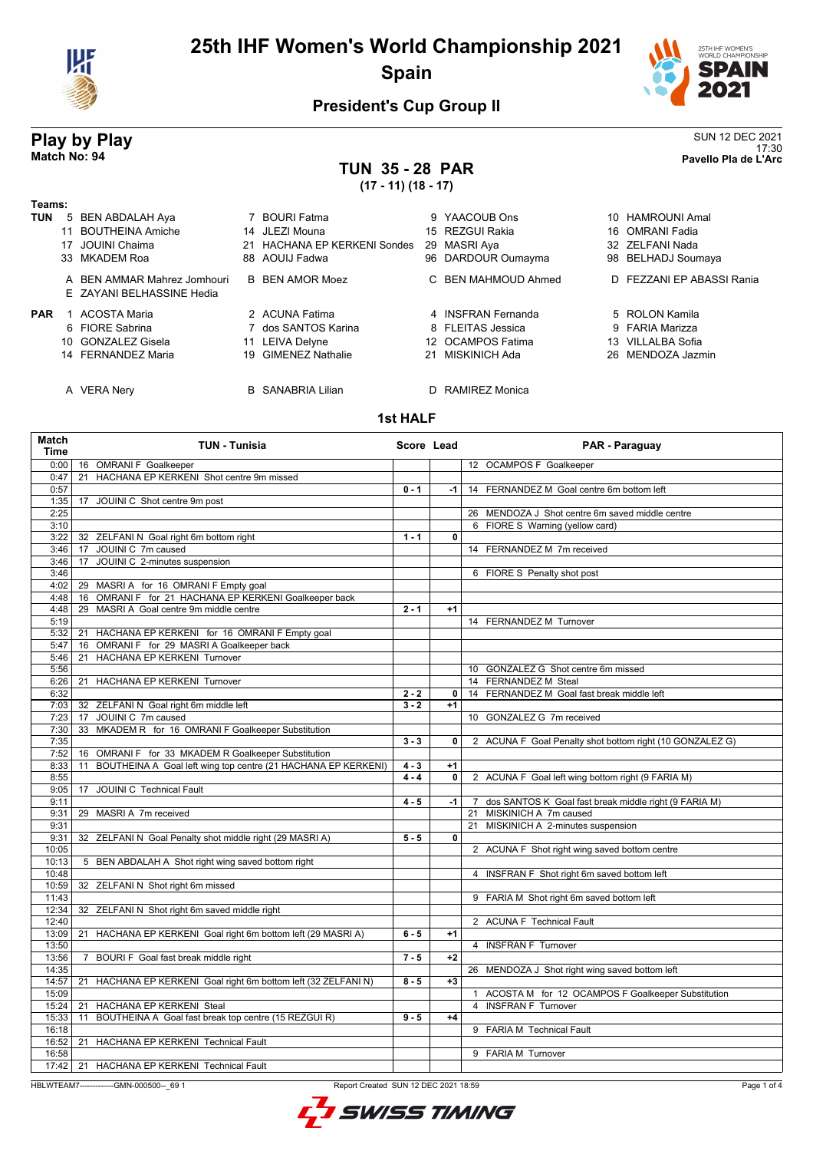

## **25th IHF Women's World Championship 2021 Spain**



17:30 **Match No: 94 Pavello Pla de L'Arc**

### **President's Cup Group II**

# **Play by Play**<br>Match No: 94<br>Pavello Pla de L'Arc

# **TUN 35 - 28 PAR**

**(17 - 11) (18 - 17)**

| Teams:     |                                                          |                                        |                     |                           |
|------------|----------------------------------------------------------|----------------------------------------|---------------------|---------------------------|
| <b>TUN</b> | 5 BEN ABDALAH Aya                                        | <b>BOURI Fatma</b>                     | 9 YAACOUB Ons       | 10 HAMROUNI Amal          |
|            | 11 BOUTHEINA Amiche                                      | 14 JLEZI Mouna                         | 15 REZGUI Rakia     | 16 OMRANI Fadia           |
|            | JOUINI Chaima                                            | <b>HACHANA EP KERKENI Sondes</b><br>21 | 29 MASRI Aya        | 32 ZELFANI Nada           |
|            | 33 MKADEM Roa                                            | 88 AOUIJ Fadwa                         | 96 DARDOUR Oumayma  | 98 BELHADJ Soumaya        |
|            | A BEN AMMAR Mahrez Jomhouri<br>E ZAYANI BELHASSINE Hedia | <b>B</b> BEN AMOR Moez                 | C BEN MAHMOUD Ahmed | D FEZZANI EP ABASSI Rania |
| <b>PAR</b> | ACOSTA Maria                                             | 2 ACUNA Fatima                         | 4 INSERAN Fernanda  | 5 ROLON Kamila            |
|            | 6 FIORE Sabrina                                          | 7 dos SANTOS Karina                    | 8 FLEITAS Jessica   | 9 FARIA Marizza           |
|            | 10 GONZALEZ Gisela                                       | 11 LEIVA Delyne                        | 12 OCAMPOS Fatima   | 13 VILLALBA Sofia         |
|            | 14 FERNANDEZ Maria                                       | 19 GIMENEZ Nathalie                    | 21 MISKINICH Ada    | 26 MENDOZA Jazmin         |
|            | <b>VERA Nerv</b>                                         | <b>B</b> SANABRIA Lilian               | D RAMIREZ Monica    |                           |

### **1st HALF**

| Match<br><b>Time</b> | <b>TUN - Tunisia</b>                                                |         | Score Lead     | PAR - Paraguay                                           |
|----------------------|---------------------------------------------------------------------|---------|----------------|----------------------------------------------------------|
| 0:00                 | 16 OMRANI F Goalkeeper                                              |         |                | 12 OCAMPOS F Goalkeeper                                  |
| 0:47                 | HACHANA EP KERKENI Shot centre 9m missed<br>21                      |         |                |                                                          |
| 0:57                 |                                                                     | $0 - 1$ | -1             | 14 FERNANDEZ M Goal centre 6m bottom left                |
| 1:35                 | JOUINI C Shot centre 9m post<br>17                                  |         |                |                                                          |
| 2:25                 |                                                                     |         |                | 26 MENDOZA J Shot centre 6m saved middle centre          |
| 3:10                 |                                                                     |         |                | 6 FIORE S Warning (yellow card)                          |
| 3:22                 | 32 ZELFANI N Goal right 6m bottom right                             | $1 - 1$ | $\mathbf{0}$   |                                                          |
| 3:46                 | 17 JOUINI C 7m caused                                               |         |                | 14 FERNANDEZ M 7m received                               |
| 3:46                 | 17 JOUINI C 2-minutes suspension                                    |         |                |                                                          |
| 3:46                 |                                                                     |         |                | 6 FIORE S Penalty shot post                              |
| 4:02                 | MASRI A for 16 OMRANI F Empty goal<br>29                            |         |                |                                                          |
| 4:48                 | OMRANI F for 21 HACHANA EP KERKENI Goalkeeper back<br>16            |         |                |                                                          |
| 4:48                 | MASRI A Goal centre 9m middle centre<br>29                          | $2 - 1$ | $+1$           |                                                          |
| 5:19                 |                                                                     |         |                | 14 FERNANDEZ M Turnover                                  |
| 5:32                 | HACHANA EP KERKENI for 16 OMRANI F Empty goal<br>21                 |         |                |                                                          |
| 5:47                 | OMRANI F for 29 MASRI A Goalkeeper back<br>16                       |         |                |                                                          |
| 5:46                 | HACHANA EP KERKENI Turnover<br>21                                   |         |                |                                                          |
| 5:56                 |                                                                     |         |                | 10 GONZALEZ G Shot centre 6m missed                      |
| 6:26                 | HACHANA EP KERKENI Turnover<br>21                                   |         |                | 14 FERNANDEZ M Steal                                     |
| 6:32                 |                                                                     | $2 - 2$ | $\overline{0}$ | 14 FERNANDEZ M Goal fast break middle left               |
| 7:03                 | 32 ZELFANI N Goal right 6m middle left                              | $3 - 2$ | $+1$           |                                                          |
| 7:23                 | 17 JOUINI C 7m caused                                               |         |                | 10 GONZALEZ G 7m received                                |
| 7:30                 | 33 MKADEM R for 16 OMRANI F Goalkeeper Substitution                 |         |                |                                                          |
| 7:35                 |                                                                     | $3 - 3$ | 0              | 2 ACUNA F Goal Penalty shot bottom right (10 GONZALEZ G) |
| 7:52                 | 16 OMRANI F for 33 MKADEM R Goalkeeper Substitution                 |         |                |                                                          |
| 8:33                 | BOUTHEINA A Goal left wing top centre (21 HACHANA EP KERKENI)<br>11 | $4 - 3$ | $+1$           |                                                          |
| 8:55                 |                                                                     | $4 - 4$ | 0              | 2 ACUNA F Goal left wing bottom right (9 FARIA M)        |
| 9:05                 | JOUINI C Technical Fault<br>17                                      |         |                |                                                          |
| 9:11                 |                                                                     | $4 - 5$ | $-1$           | 7 dos SANTOS K Goal fast break middle right (9 FARIA M)  |
| 9:31                 | 29 MASRI A 7m received                                              |         |                | 21 MISKINICH A 7m caused                                 |
| 9:31                 |                                                                     |         |                | 21 MISKINICH A 2-minutes suspension                      |
| 9:31                 | 32 ZELFANI N Goal Penalty shot middle right (29 MASRI A)            | $5 - 5$ | 0              |                                                          |
| 10:05                |                                                                     |         |                | 2 ACUNA F Shot right wing saved bottom centre            |
| 10:13                | 5 BEN ABDALAH A Shot right wing saved bottom right                  |         |                |                                                          |
| 10:48                |                                                                     |         |                | 4 INSFRAN F Shot right 6m saved bottom left              |
| 10:59                | 32 ZELFANI N Shot right 6m missed                                   |         |                |                                                          |
| 11:43                |                                                                     |         |                | 9 FARIA M Shot right 6m saved bottom left                |
| 12:34                | 32 ZELFANI N Shot right 6m saved middle right                       |         |                |                                                          |
| 12:40                |                                                                     |         |                | 2 ACUNA F Technical Fault                                |
| 13:09                | HACHANA EP KERKENI Goal right 6m bottom left (29 MASRI A)<br>21     | $6 - 5$ | $+1$           |                                                          |
| 13:50                |                                                                     |         |                | 4 INSFRAN F Turnover                                     |
| 13:56                | BOURI F Goal fast break middle right<br>7                           | $7 - 5$ | $+2$           |                                                          |
| 14:35                |                                                                     |         |                | 26 MENDOZA J Shot right wing saved bottom left           |
| 14:57                | HACHANA EP KERKENI Goal right 6m bottom left (32 ZELFANI N)<br>21   | $8 - 5$ | $+3$           |                                                          |
| 15:09                |                                                                     |         |                | 1 ACOSTA M for 12 OCAMPOS F Goalkeeper Substitution      |
| 15:24                | <b>HACHANA EP KERKENI Steal</b><br>21                               |         |                | <b>INSFRAN F Turnover</b><br>$\overline{4}$              |
| 15:33                | BOUTHEINA A Goal fast break top centre (15 REZGUI R)<br>11          | $9 - 5$ | $+4$           |                                                          |
| 16:18                |                                                                     |         |                | 9 FARIA M Technical Fault                                |
| 16:52                | 21 HACHANA EP KERKENI Technical Fault                               |         |                |                                                          |
| 16:58                |                                                                     |         |                | 9 FARIA M Turnover                                       |
| 17:42                | 21 HACHANA EP KERKENI Technical Fault                               |         |                |                                                          |
|                      |                                                                     |         |                |                                                          |

HBLWTEAM7-------------GMN-000500--\_69 1 Report Created SUN 12 DEC 2021 18:59



Page 1 of 4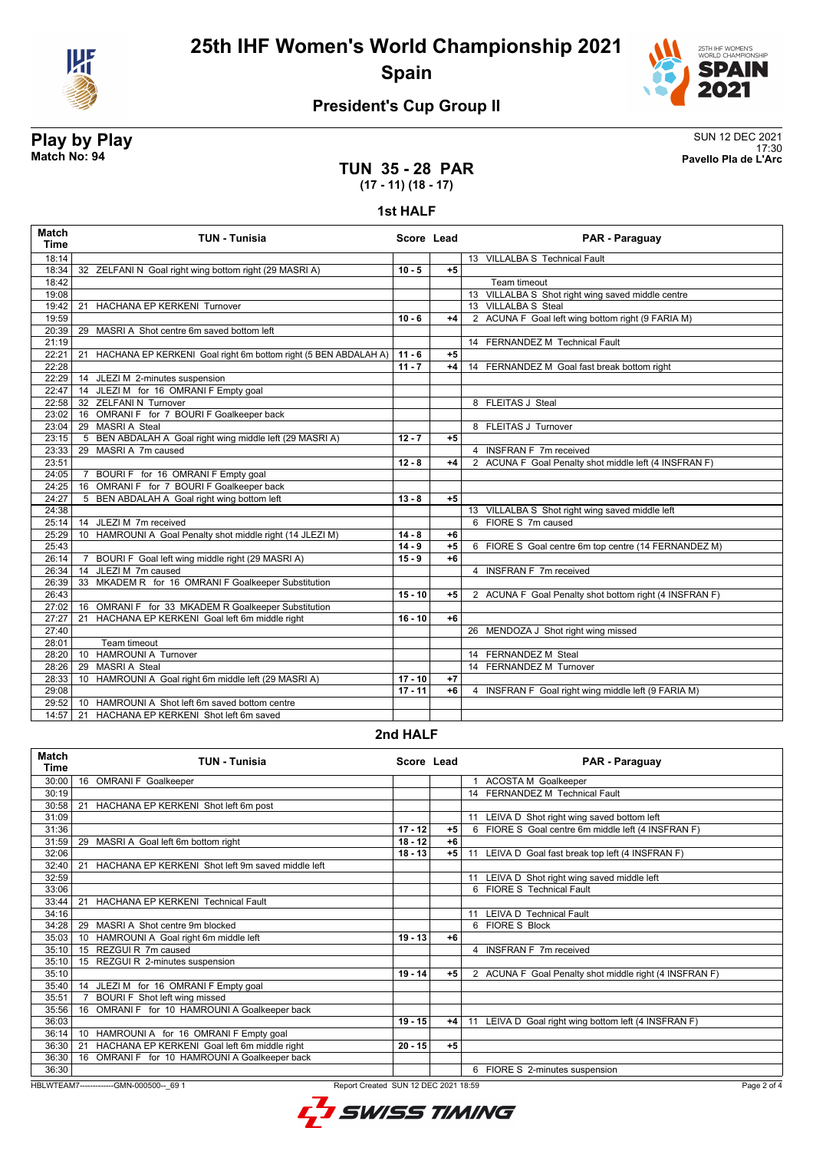

**25th IHF Women's World Championship 2021 Spain**



### **President's Cup Group II**

# **Play by Play**<br>Match No: 94<br>Pavello Pla de L'Arc

17:30 **Match No: 94 Pavello Pla de L'Arc**

### **TUN 35 - 28 PAR (17 - 11) (18 - 17)**

#### **1st HALF**

| <b>Match</b><br><b>Time</b> | <b>TUN - Tunisia</b>                                                  | Score Lead |      | PAR - Paraguay                                         |
|-----------------------------|-----------------------------------------------------------------------|------------|------|--------------------------------------------------------|
| 18:14                       |                                                                       |            |      | 13 VILLALBA S Technical Fault                          |
| 18:34                       | 32 ZELFANI N Goal right wing bottom right (29 MASRI A)                | $10 - 5$   | $+5$ |                                                        |
| 18:42                       |                                                                       |            |      | Team timeout                                           |
| 19:08                       |                                                                       |            |      | 13 VILLALBA S Shot right wing saved middle centre      |
| 19:42                       | <b>HACHANA EP KERKENI Turnover</b><br>21                              |            |      | 13 VILLALBA S Steal                                    |
| 19:59                       |                                                                       | $10 - 6$   | $+4$ | 2 ACUNA F Goal left wing bottom right (9 FARIA M)      |
| 20:39                       | MASRI A Shot centre 6m saved bottom left<br>29                        |            |      |                                                        |
| 21:19                       |                                                                       |            |      | 14 FERNANDEZ M Technical Fault                         |
| 22:21                       | HACHANA EP KERKENI Goal right 6m bottom right (5 BEN ABDALAH A)<br>21 | $11 - 6$   | $+5$ |                                                        |
| 22:28                       |                                                                       | $11 - 7$   | $+4$ | 14 FERNANDEZ M Goal fast break bottom right            |
| 22:29                       | 14 JLEZI M 2-minutes suspension                                       |            |      |                                                        |
| 22:47                       | 14 JLEZI M for 16 OMRANI F Empty goal                                 |            |      |                                                        |
| 22:58                       | 32 ZELFANI N Turnover                                                 |            |      | 8 FLEITAS J Steal                                      |
| 23:02                       | 16 OMRANI F for 7 BOURI F Goalkeeper back                             |            |      |                                                        |
| 23:04                       | 29 MASRI A Steal                                                      |            |      | 8 FLEITAS J Turnover                                   |
| 23:15                       | 5 BEN ABDALAH A Goal right wing middle left (29 MASRI A)              | $12 - 7$   | $+5$ |                                                        |
| 23:33                       | MASRI A 7m caused<br>29                                               |            |      | 4 INSFRAN F 7m received                                |
| 23:51                       |                                                                       | $12 - 8$   | $+4$ | 2 ACUNA F Goal Penalty shot middle left (4 INSFRAN F)  |
| 24:05                       | BOURI F for 16 OMRANI F Empty goal<br>$\overline{7}$                  |            |      |                                                        |
| 24:25                       | 16 OMRANI F for 7 BOURI F Goalkeeper back                             |            |      |                                                        |
| 24:27                       | 5 BEN ABDALAH A Goal right wing bottom left                           | $13 - 8$   | $+5$ |                                                        |
| 24:38                       |                                                                       |            |      | 13 VILLALBA S Shot right wing saved middle left        |
| 25:14                       | 14 JLEZI M 7m received                                                |            |      | 6 FIORE S 7m caused                                    |
| 25:29                       | 10 HAMROUNI A Goal Penalty shot middle right (14 JLEZI M)             | $14 - 8$   | $+6$ |                                                        |
| 25:43                       |                                                                       | $14 - 9$   | $+5$ | 6 FIORE S Goal centre 6m top centre (14 FERNANDEZ M)   |
| 26:14                       | BOURI F Goal left wing middle right (29 MASRI A)                      | $15 - 9$   | $+6$ |                                                        |
| 26:34                       | JLEZI M 7m caused<br>14                                               |            |      | 4 INSFRAN F 7m received                                |
| 26:39                       | 33 MKADEM R for 16 OMRANI F Goalkeeper Substitution                   |            |      |                                                        |
| 26:43                       |                                                                       | $15 - 10$  | $+5$ | 2 ACUNA F Goal Penalty shot bottom right (4 INSFRAN F) |
| 27:02                       | 16 OMRANI F for 33 MKADEM R Goalkeeper Substitution                   |            |      |                                                        |
| 27:27                       | HACHANA EP KERKENI Goal left 6m middle right<br>21                    | $16 - 10$  | $+6$ |                                                        |
| 27:40                       |                                                                       |            |      | 26 MENDOZA J Shot right wing missed                    |
| 28:01                       | Team timeout                                                          |            |      |                                                        |
| 28:20                       | <b>HAMROUNI A Turnover</b><br>10 <sup>1</sup>                         |            |      | 14 FERNANDEZ M Steal                                   |
| 28:26                       | <b>MASRIA</b> Steal<br>29                                             |            |      | 14 FERNANDEZ M Turnover                                |
| 28:33                       | HAMROUNI A Goal right 6m middle left (29 MASRI A)<br>10 <sup>°</sup>  | $17 - 10$  | $+7$ |                                                        |
| 29:08                       |                                                                       | $17 - 11$  | $+6$ | 4 INSFRAN F Goal right wing middle left (9 FARIA M)    |
| 29:52                       | HAMROUNI A Shot left 6m saved bottom centre<br>10                     |            |      |                                                        |
| 14:57                       | 21<br>HACHANA EP KERKENI Shot left 6m saved                           |            |      |                                                        |

#### **2nd HALF**

| Match<br>Time | TUN - Tunisia                                            | Score Lead |      | PAR - Paraguay                                          |
|---------------|----------------------------------------------------------|------------|------|---------------------------------------------------------|
| 30:00         | 16 OMRANI F Goalkeeper                                   |            |      | <b>ACOSTA M Goalkeeper</b>                              |
| 30:19         |                                                          |            |      | <b>FERNANDEZ M Technical Fault</b><br>14                |
| 30:58         | HACHANA EP KERKENI Shot left 6m post<br>21               |            |      |                                                         |
| 31:09         |                                                          |            |      | LEIVA D Shot right wing saved bottom left               |
| 31:36         |                                                          | $17 - 12$  | $+5$ | FIORE S Goal centre 6m middle left (4 INSFRAN F)        |
| 31:59         | 29 MASRI A Goal left 6m bottom right                     | $18 - 12$  | $+6$ |                                                         |
| 32:06         |                                                          | $18 - 13$  | $+5$ | LEIVA D Goal fast break top left (4 INSFRAN F)<br>11    |
| 32:40         | HACHANA EP KERKENI Shot left 9m saved middle left<br>21  |            |      |                                                         |
| 32:59         |                                                          |            |      | LEIVA D Shot right wing saved middle left               |
| 33:06         |                                                          |            |      | <b>FIORE S</b> Technical Fault<br>6                     |
| 33:44         | <b>HACHANA EP KERKENI Technical Fault</b><br>21          |            |      |                                                         |
| 34:16         |                                                          |            |      | <b>LEIVA D Technical Fault</b><br>11                    |
| 34:28         | MASRI A Shot centre 9m blocked<br>29                     |            |      | 6 FIORE S Block                                         |
| 35:03         | HAMROUNI A Goal right 6m middle left<br>10 <sup>°</sup>  | $19 - 13$  | $+6$ |                                                         |
| 35:10         | 15 REZGUIR 7m caused                                     |            |      | 4 INSFRAN F 7m received                                 |
| 35:10         | 15 REZGUI R 2-minutes suspension                         |            |      |                                                         |
| 35:10         |                                                          | $19 - 14$  | $+5$ | 2 ACUNA F Goal Penalty shot middle right (4 INSFRAN F)  |
| 35:40         | 14 JLEZI M for 16 OMRANI F Empty goal                    |            |      |                                                         |
| 35:51         | BOURI F Shot left wing missed                            |            |      |                                                         |
| 35:56         | OMRANI F for 10 HAMROUNI A Goalkeeper back<br>16         |            |      |                                                         |
| 36:03         |                                                          | $19 - 15$  | $+4$ | LEIVA D Goal right wing bottom left (4 INSFRAN F)<br>11 |
| 36:14         | HAMROUNI A for 16 OMRANI F Empty goal<br>10 <sup>°</sup> |            |      |                                                         |
| 36:30         | HACHANA EP KERKENI Goal left 6m middle right<br>21       | $20 - 15$  | $+5$ |                                                         |
| 36:30         | OMRANI F for 10 HAMROUNI A Goalkeeper back<br>16         |            |      |                                                         |
| 36:30         |                                                          |            |      | 6 FIORE S 2-minutes suspension                          |

HBLWTEAM7-------------GMN-000500--\_69 1 Report Created SUN 12 DEC 2021 18:59

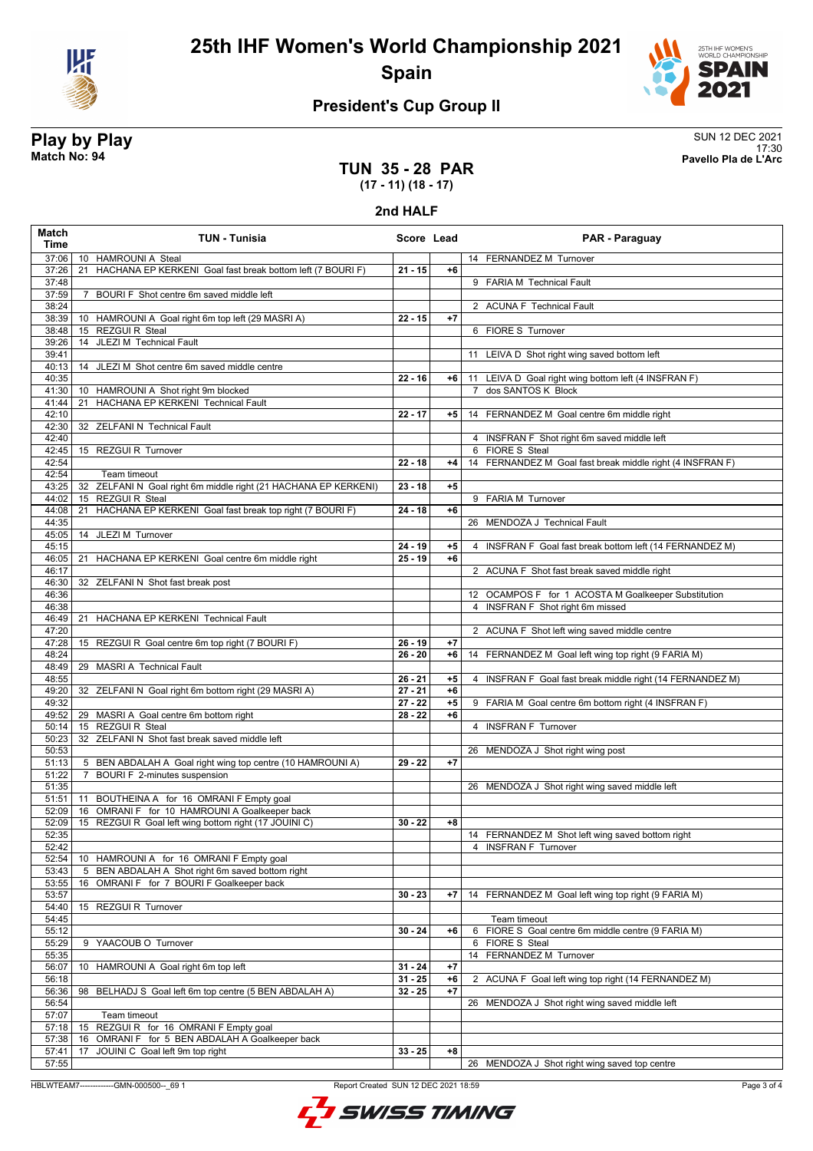

**25th IHF Women's World Championship 2021 Spain**



### **President's Cup Group II**

**Play by Play**<br>Match No: 94<br>Pavello Pla de L'Arc 17:30 **Match No: 94 Pavello Pla de L'Arc**

### **TUN 35 - 28 PAR (17 - 11) (18 - 17)**

#### **2nd HALF**

| <b>Match</b><br><b>Time</b> | <b>TUN - Tunisia</b>                                                                                   | Score Lead |              | <b>PAR - Paraguay</b>                                     |
|-----------------------------|--------------------------------------------------------------------------------------------------------|------------|--------------|-----------------------------------------------------------|
| 37:06                       | 10 HAMROUNI A Steal                                                                                    |            |              | 14 FERNANDEZ M Turnover                                   |
| 37:26                       | HACHANA EP KERKENI Goal fast break bottom left (7 BOURI F)<br>21                                       | $21 - 15$  | $+6$         |                                                           |
| 37:48                       |                                                                                                        |            |              | 9 FARIA M Technical Fault                                 |
| 37:59                       | BOURI F Shot centre 6m saved middle left<br>$\overline{7}$                                             |            |              |                                                           |
| 38:24                       |                                                                                                        |            |              | 2 ACUNA F Technical Fault                                 |
| 38:39                       | 10 HAMROUNI A Goal right 6m top left (29 MASRI A)<br>15 REZGUI R Steal                                 | $22 - 15$  | $+7$         |                                                           |
| 38:48                       | JLEZI M Technical Fault                                                                                |            |              | 6 FIORE S Turnover                                        |
| 39:26<br>39:41              | 14                                                                                                     |            |              | 11 LEIVA D Shot right wing saved bottom left              |
| 40:13                       | 14 JLEZI M Shot centre 6m saved middle centre                                                          |            |              |                                                           |
| 40:35                       |                                                                                                        | $22 - 16$  | $+6$         | 11 LEIVA D Goal right wing bottom left (4 INSFRAN F)      |
| 41:30                       | 10 HAMROUNI A Shot right 9m blocked                                                                    |            |              | 7 dos SANTOS K Block                                      |
| 41:44                       | <b>HACHANA EP KERKENI Technical Fault</b><br>21                                                        |            |              |                                                           |
| 42:10                       |                                                                                                        | $22 - 17$  | $+5$         | 14 FERNANDEZ M Goal centre 6m middle right                |
| 42:30                       | <b>ZELFANI N Technical Fault</b><br>32                                                                 |            |              |                                                           |
| 42:40                       |                                                                                                        |            |              | 4 INSFRAN F Shot right 6m saved middle left               |
| 42:45                       | 15 REZGUI R Turnover                                                                                   |            |              | 6 FIORE S Steal                                           |
| 42:54                       |                                                                                                        | $22 - 18$  | $+4$         | 14 FERNANDEZ M Goal fast break middle right (4 INSFRAN F) |
| 42:54                       | Team timeout                                                                                           |            |              |                                                           |
| 43:25                       | 32 ZELFANI N Goal right 6m middle right (21 HACHANA EP KERKENI)                                        | $23 - 18$  | $+5$         |                                                           |
| 44:02<br>44:08              | 15 REZGUIR Steal                                                                                       | 24 - 18    | $+6$         | 9 FARIA M Turnover                                        |
| 44:35                       | HACHANA EP KERKENI Goal fast break top right (7 BOURI F)<br>21                                         |            |              | 26 MENDOZA J Technical Fault                              |
| 45:05                       | 14 JLEZI M Turnover                                                                                    |            |              |                                                           |
| 45:15                       |                                                                                                        | $24 - 19$  | $+5$         | 4 INSFRAN F Goal fast break bottom left (14 FERNANDEZ M)  |
| 46:05                       | HACHANA EP KERKENI Goal centre 6m middle right<br>21                                                   | $25 - 19$  | $+6$         |                                                           |
| 46:17                       |                                                                                                        |            |              | 2 ACUNA F Shot fast break saved middle right              |
| 46:30                       | 32 ZELFANIN Shot fast break post                                                                       |            |              |                                                           |
| 46:36                       |                                                                                                        |            |              | 12 OCAMPOS F for 1 ACOSTA M Goalkeeper Substitution       |
| 46:38                       |                                                                                                        |            |              | 4 INSFRAN F Shot right 6m missed                          |
| 46:49                       | 21 HACHANA EP KERKENI Technical Fault                                                                  |            |              |                                                           |
| 47:20                       |                                                                                                        |            |              | 2 ACUNA F Shot left wing saved middle centre              |
| 47:28                       | 15 REZGUI R Goal centre 6m top right (7 BOURI F)                                                       | $26 - 19$  | $+7$         |                                                           |
| 48:24                       |                                                                                                        | $26 - 20$  | $+6$         | 14 FERNANDEZ M Goal left wing top right (9 FARIA M)       |
| 48:49<br>48:55              | 29 MASRI A Technical Fault                                                                             | $26 - 21$  | $+5$         | 4 INSFRAN F Goal fast break middle right (14 FERNANDEZ M) |
| 49:20                       | 32 ZELFANI N Goal right 6m bottom right (29 MASRI A)                                                   | $27 - 21$  | $+6$         |                                                           |
| 49:32                       |                                                                                                        | $27 - 22$  | $+5$         | 9 FARIA M Goal centre 6m bottom right (4 INSFRAN F)       |
| 49:52                       | 29 MASRI A Goal centre 6m bottom right                                                                 | 28 - 22    | $+6$         |                                                           |
| 50:14                       | 15 REZGUIR Steal                                                                                       |            |              | 4 INSFRAN F Turnover                                      |
| 50:23                       | 32 ZELFANI N Shot fast break saved middle left                                                         |            |              |                                                           |
| 50:53                       |                                                                                                        |            |              | 26 MENDOZA J Shot right wing post                         |
| 51:13                       | 5 BEN ABDALAH A Goal right wing top centre (10 HAMROUNI A)                                             | 29 - 22    | $+7$         |                                                           |
| 51:22                       | BOURI F 2-minutes suspension<br>7                                                                      |            |              |                                                           |
| 51:35                       |                                                                                                        |            |              | 26 MENDOZA J Shot right wing saved middle left            |
| 51:51                       | 11 BOUTHEINA A for 16 OMRANI F Empty goal                                                              |            |              |                                                           |
| 52:09<br>52:09              | 16 OMRANI F for 10 HAMROUNI A Goalkeeper back<br>15 REZGUI R Goal left wing bottom right (17 JOUINI C) | $30 - 22$  | +8           |                                                           |
| 52:35                       |                                                                                                        |            |              | 14 FERNANDEZ M Shot left wing saved bottom right          |
| 52:42                       |                                                                                                        |            |              | 4 INSFRAN F Turnover                                      |
| 52:54                       | HAMROUNI A for 16 OMRANI F Empty goal<br>10                                                            |            |              |                                                           |
| 53:43                       | BEN ABDALAH A Shot right 6m saved bottom right<br>5                                                    |            |              |                                                           |
| 53:55                       | OMRANI F for 7 BOURI F Goalkeeper back<br>16                                                           |            |              |                                                           |
| 53:57                       |                                                                                                        | $30 - 23$  | $+7$         | 14 FERNANDEZ M Goal left wing top right (9 FARIA M)       |
| 54:40                       | 15 REZGUI R Turnover                                                                                   |            |              |                                                           |
| 54:45                       |                                                                                                        |            |              | Team timeout                                              |
| 55:12                       |                                                                                                        | $30 - 24$  | $+6$         | 6 FIORE S Goal centre 6m middle centre (9 FARIA M)        |
| 55:29                       | YAACOUB O Turnover<br>9                                                                                |            |              | 6 FIORE S Steal                                           |
| 55:35                       |                                                                                                        | $31 - 24$  |              | 14 FERNANDEZ M Turnover                                   |
| 56:07<br>56:18              | 10<br>HAMROUNI A Goal right 6m top left                                                                | $31 - 25$  | $+7$<br>$+6$ | 2 ACUNA F Goal left wing top right (14 FERNANDEZ M)       |
| 56:36                       | BELHADJ S Goal left 6m top centre (5 BEN ABDALAH A)<br>98                                              | $32 - 25$  | $+7$         |                                                           |
| 56:54                       |                                                                                                        |            |              | 26 MENDOZA J Shot right wing saved middle left            |
| 57:07                       | Team timeout                                                                                           |            |              |                                                           |
| 57:18                       | REZGUIR for 16 OMRANI F Empty goal<br>15                                                               |            |              |                                                           |
| 57:38                       | OMRANI F for 5 BEN ABDALAH A Goalkeeper back<br>16                                                     |            |              |                                                           |
| 57:41                       | JOUINI C Goal left 9m top right<br>17                                                                  | $33 - 25$  | $+8$         |                                                           |
| 57:55                       |                                                                                                        |            |              | 26 MENDOZA J Shot right wing saved top centre             |